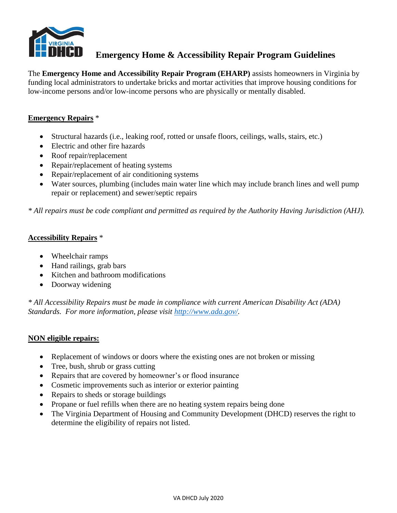

The **Emergency Home and Accessibility Repair Program (EHARP)** assists homeowners in Virginia by funding local administrators to undertake bricks and mortar activities that improve housing conditions for low-income persons and/or low-income persons who are physically or mentally disabled.

### **Emergency Repairs** \*

- Structural hazards (i.e., leaking roof, rotted or unsafe floors, ceilings, walls, stairs, etc.)
- Electric and other fire hazards
- Roof repair/replacement
- Repair/replacement of heating systems
- Repair/replacement of air conditioning systems
- Water sources, plumbing (includes main water line which may include branch lines and well pump repair or replacement) and sewer/septic repairs

*\* All repairs must be code compliant and permitted as required by the Authority Having Jurisdiction (AHJ).*

#### **Accessibility Repairs** \*

- Wheelchair ramps
- Hand railings, grab bars
- Kitchen and bathroom modifications
- Doorway widening

*\* All Accessibility Repairs must be made in compliance with current American Disability Act (ADA) Standards. For more information, please visit [http://www.ada.gov/.](http://www.ada.gov/)*

#### **NON eligible repairs:**

- Replacement of windows or doors where the existing ones are not broken or missing
- Tree, bush, shrub or grass cutting
- Repairs that are covered by homeowner's or flood insurance
- Cosmetic improvements such as interior or exterior painting
- Repairs to sheds or storage buildings
- Propane or fuel refills when there are no heating system repairs being done
- The Virginia Department of Housing and Community Development (DHCD) reserves the right to determine the eligibility of repairs not listed.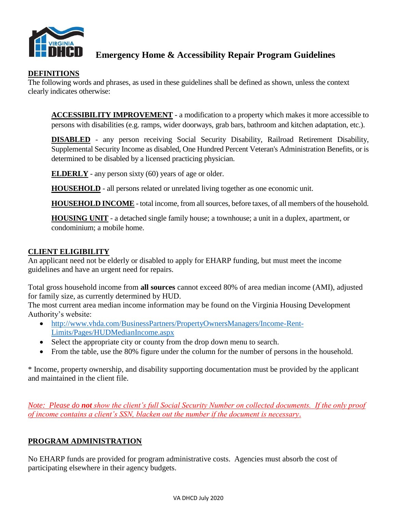

### **DEFINITIONS**

The following words and phrases, as used in these guidelines shall be defined as shown, unless the context clearly indicates otherwise:

**ACCESSIBILITY IMPROVEMENT** - a modification to a property which makes it more accessible to persons with disabilities (e.g. ramps, wider doorways, grab bars, bathroom and kitchen adaptation, etc.).

**DISABLED** - any person receiving Social Security Disability, Railroad Retirement Disability, Supplemental Security Income as disabled, One Hundred Percent Veteran's Administration Benefits, or is determined to be disabled by a licensed practicing physician.

**ELDERLY** - any person sixty (60) years of age or older.

**HOUSEHOLD** - all persons related or unrelated living together as one economic unit.

**HOUSEHOLD INCOME** - total income, from all sources, before taxes, of all members of the household.

**HOUSING UNIT** - a detached single family house; a townhouse; a unit in a duplex, apartment, or condominium; a mobile home.

### **CLIENT ELIGIBILITY**

An applicant need not be elderly or disabled to apply for EHARP funding, but must meet the income guidelines and have an urgent need for repairs.

Total gross household income from **all sources** cannot exceed 80% of area median income (AMI), adjusted for family size, as currently determined by HUD.

The most current area median income information may be found on the Virginia Housing Development Authority's website:

- [http://www.vhda.com/BusinessPartners/PropertyOwnersManagers/Income-Rent-](http://www.vhda.com/BusinessPartners/PropertyOwnersManagers/Income-Rent-Limits/Pages/HUDMedianIncome.aspx)[Limits/Pages/HUDMedianIncome.aspx](http://www.vhda.com/BusinessPartners/PropertyOwnersManagers/Income-Rent-Limits/Pages/HUDMedianIncome.aspx)
- Select the appropriate city or county from the drop down menu to search.
- From the table, use the 80% figure under the column for the number of persons in the household.

\* Income, property ownership, and disability supporting documentation must be provided by the applicant and maintained in the client file.

*Note: Please do not show the client's full Social Security Number on collected documents. If the only proof of income contains a client's SSN, blacken out the number if the document is necessary*.

# **PROGRAM ADMINISTRATION**

No EHARP funds are provided for program administrative costs. Agencies must absorb the cost of participating elsewhere in their agency budgets.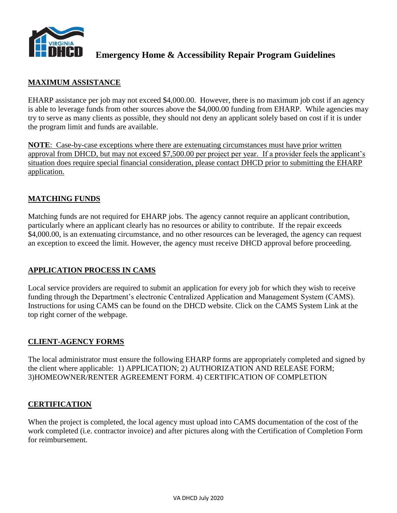

## **MAXIMUM ASSISTANCE**

EHARP assistance per job may not exceed \$4,000.00. However, there is no maximum job cost if an agency is able to leverage funds from other sources above the \$4,000.00 funding from EHARP. While agencies may try to serve as many clients as possible, they should not deny an applicant solely based on cost if it is under the program limit and funds are available.

**NOTE**: Case-by-case exceptions where there are extenuating circumstances must have prior written approval from DHCD, but may not exceed \$7,500.00 per project per year. If a provider feels the applicant's situation does require special financial consideration, please contact DHCD prior to submitting the EHARP application.

## **MATCHING FUNDS**

Matching funds are not required for EHARP jobs. The agency cannot require an applicant contribution, particularly where an applicant clearly has no resources or ability to contribute. If the repair exceeds \$4,000.00, is an extenuating circumstance, and no other resources can be leveraged, the agency can request an exception to exceed the limit. However, the agency must receive DHCD approval before proceeding.

### **APPLICATION PROCESS IN CAMS**

Local service providers are required to submit an application for every job for which they wish to receive funding through the Department's electronic Centralized Application and Management System (CAMS). Instructions for using CAMS can be found on the DHCD website. Click on the CAMS System Link at the top right corner of the webpage.

### **CLIENT-AGENCY FORMS**

The local administrator must ensure the following EHARP forms are appropriately completed and signed by the client where applicable: 1) APPLICATION; 2) AUTHORIZATION AND RELEASE FORM; 3)HOMEOWNER/RENTER AGREEMENT FORM. 4) CERTIFICATION OF COMPLETION

#### **CERTIFICATION**

When the project is completed, the local agency must upload into CAMS documentation of the cost of the work completed (i.e. contractor invoice) and after pictures along with the Certification of Completion Form for reimbursement.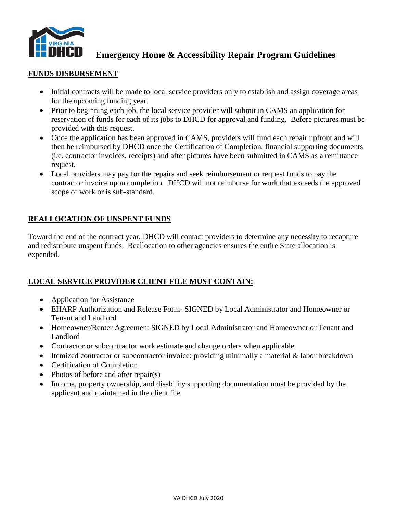

#### **FUNDS DISBURSEMENT**

- Initial contracts will be made to local service providers only to establish and assign coverage areas for the upcoming funding year.
- Prior to beginning each job, the local service provider will submit in CAMS an application for reservation of funds for each of its jobs to DHCD for approval and funding. Before pictures must be provided with this request.
- Once the application has been approved in CAMS, providers will fund each repair upfront and will then be reimbursed by DHCD once the Certification of Completion, financial supporting documents (i.e. contractor invoices, receipts) and after pictures have been submitted in CAMS as a remittance request.
- Local providers may pay for the repairs and seek reimbursement or request funds to pay the contractor invoice upon completion. DHCD will not reimburse for work that exceeds the approved scope of work or is sub-standard.

# **REALLOCATION OF UNSPENT FUNDS**

Toward the end of the contract year, DHCD will contact providers to determine any necessity to recapture and redistribute unspent funds. Reallocation to other agencies ensures the entire State allocation is expended.

### **LOCAL SERVICE PROVIDER CLIENT FILE MUST CONTAIN:**

- Application for Assistance
- EHARP Authorization and Release Form- SIGNED by Local Administrator and Homeowner or Tenant and Landlord
- Homeowner/Renter Agreement SIGNED by Local Administrator and Homeowner or Tenant and Landlord
- Contractor or subcontractor work estimate and change orders when applicable
- Itemized contractor or subcontractor invoice: providing minimally a material & labor breakdown
- Certification of Completion
- Photos of before and after repair(s)
- Income, property ownership, and disability supporting documentation must be provided by the applicant and maintained in the client file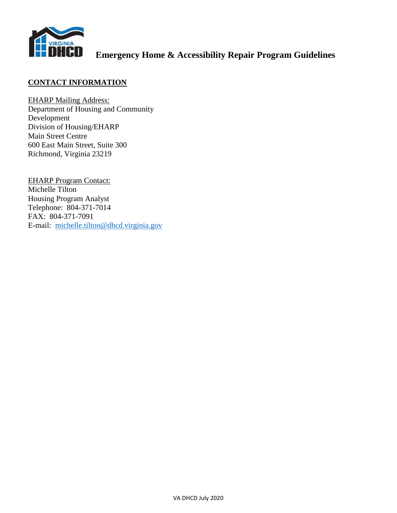

## **CONTACT INFORMATION**

EHARP Mailing Address: Department of Housing and Community Development Division of Housing/EHARP Main Street Centre 600 East Main Street, Suite 300 Richmond, Virginia 23219

EHARP Program Contact: Michelle Tilton Housing Program Analyst Telephone: 804-371-7014 FAX: 804-371-7091 E-mail: [michelle.tilton@dhcd.virginia.gov](mailto:michelle.tilton@dhcd.virginia.gov)